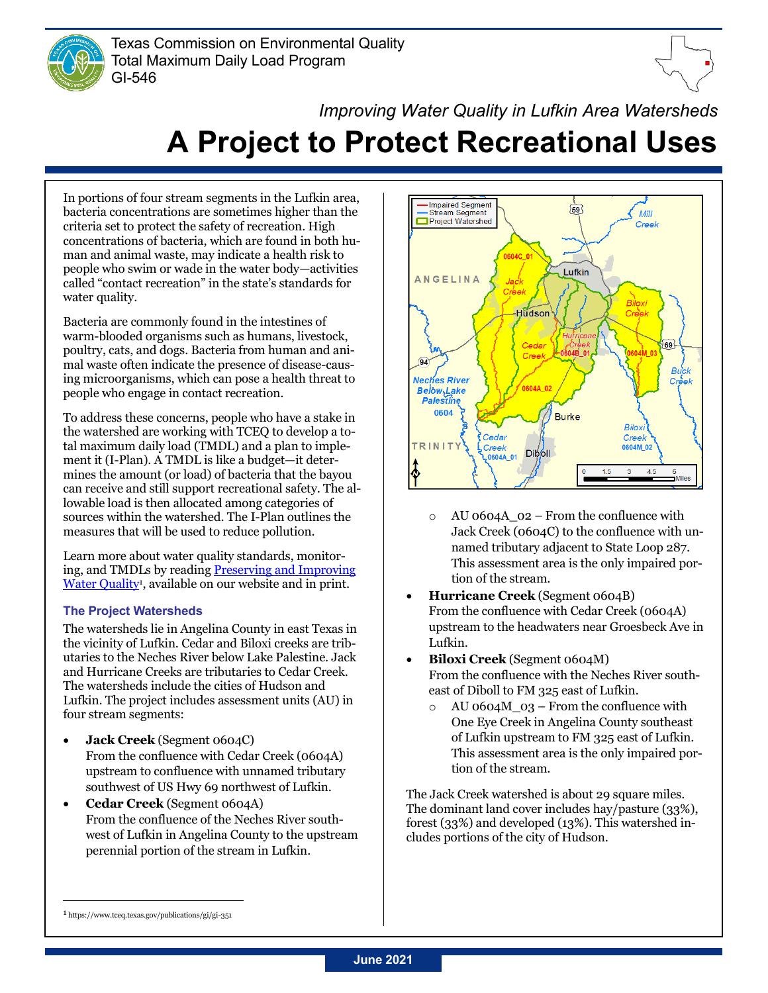



# *Improving Water Quality in Lufkin Area Watersheds* **A Project to Protect Recreational Uses**

In portions of four stream segments in the Lufkin area, bacteria concentrations are sometimes higher than the criteria set to protect the safety of recreation. High concentrations of bacteria, which are found in both human and animal waste, may indicate a health risk to people who swim or wade in the water body—activities called "contact recreation" in the state's standards for water quality.

Bacteria are commonly found in the intestines of warm-blooded organisms such as humans, livestock, poultry, cats, and dogs. Bacteria from human and animal waste often indicate the presence of disease-causing microorganisms, which can pose a health threat to people who engage in contact recreation.

To address these concerns, people who have a stake in the watershed are working with TCEQ to develop a total maximum daily load (TMDL) and a plan to implement it (I-Plan). A TMDL is like a budget—it determines the amount (or load) of bacteria that the bayou can receive and still support recreational safety. The allowable load is then allocated among categories of sources within the watershed. The I-Plan outlines the measures that will be used to reduce pollution.

Learn more about water quality standards, monitoring, and TMDLs by reading **Preserving and Improving** Water Quality<sup>1</sup>, available on our website and in print.

# **The Project Watersheds**

The watersheds lie in Angelina County in east Texas in the vicinity of Lufkin. Cedar and Biloxi creeks are tributaries to the Neches River below Lake Palestine. Jack and Hurricane Creeks are tributaries to Cedar Creek. The watersheds include the cities of Hudson and Lufkin. The project includes assessment units (AU) in four stream segments:

- **Jack Creek** (Segment 0604C) From the confluence with Cedar Creek (0604A) upstream to confluence with unnamed tributary southwest of US Hwy 69 northwest of Lufkin.
- **Cedar Creek** (Segment 0604A) From the confluence of the Neches River southwest of Lufkin in Angelina County to the upstream perennial portion of the stream in Lufkin.



- o AU 0604A\_02 From the confluence with Jack Creek (0604C) to the confluence with unnamed tributary adjacent to State Loop 287. This assessment area is the only impaired portion of the stream.
- **Hurricane Creek** (Segment 0604B) From the confluence with Cedar Creek (0604A) upstream to the headwaters near Groesbeck Ave in Lufkin.
- **Biloxi Creek** (Segment 0604M) From the confluence with the Neches River southeast of Diboll to FM 325 east of Lufkin.
	- $\circ$  AU 0604M\_03 From the confluence with One Eye Creek in Angelina County southeast of Lufkin upstream to FM 325 east of Lufkin. This assessment area is the only impaired portion of the stream.

The Jack Creek watershed is about 29 square miles. The dominant land cover includes hay/pasture (33%), forest (33%) and developed (13%). This watershed includes portions of the city of Hudson.

<sup>1</sup> https://www.tceq.texas.gov/publications/gi/gi-351